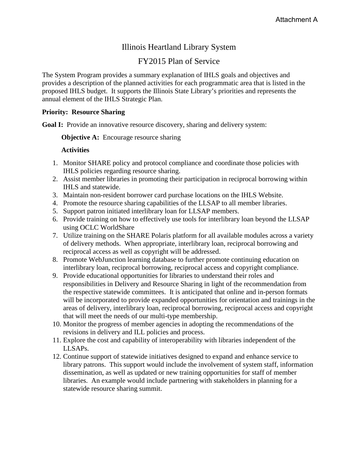# Illinois Heartland Library System

# FY2015 Plan of Service

The System Program provides a summary explanation of IHLS goals and objectives and provides a description of the planned activities for each programmatic area that is listed in the proposed IHLS budget. It supports the Illinois State Library's priorities and represents the annual element of the IHLS Strategic Plan.

### **Priority: Resource Sharing**

Goal I: Provide an innovative resource discovery, sharing and delivery system:

**Objective A:** Encourage resource sharing

- 1. Monitor SHARE policy and protocol compliance and coordinate those policies with IHLS policies regarding resource sharing.
- 2. Assist member libraries in promoting their participation in reciprocal borrowing within IHLS and statewide.
- 3. Maintain non-resident borrower card purchase locations on the IHLS Website.
- 4. Promote the resource sharing capabilities of the LLSAP to all member libraries.
- 5. Support patron initiated interlibrary loan for LLSAP members.
- 6. Provide training on how to effectively use tools for interlibrary loan beyond the LLSAP using OCLC WorldShare
- 7. Utilize training on the SHARE Polaris platform for all available modules across a variety of delivery methods. When appropriate, interlibrary loan, reciprocal borrowing and reciprocal access as well as copyright will be addressed.
- 8. Promote WebJunction learning database to further promote continuing education on interlibrary loan, reciprocal borrowing, reciprocal access and copyright compliance.
- 9. Provide educational opportunities for libraries to understand their roles and responsibilities in Delivery and Resource Sharing in light of the recommendation from the respective statewide committees. It is anticipated that online and in-person formats will be incorporated to provide expanded opportunities for orientation and trainings in the areas of delivery, interlibrary loan, reciprocal borrowing, reciprocal access and copyright that will meet the needs of our multi-type membership.
- 10. Monitor the progress of member agencies in adopting the recommendations of the revisions in delivery and ILL policies and process.
- 11. Explore the cost and capability of interoperability with libraries independent of the LLSAPs.
- 12. Continue support of statewide initiatives designed to expand and enhance service to library patrons. This support would include the involvement of system staff, information dissemination, as well as updated or new training opportunities for staff of member libraries. An example would include partnering with stakeholders in planning for a statewide resource sharing summit.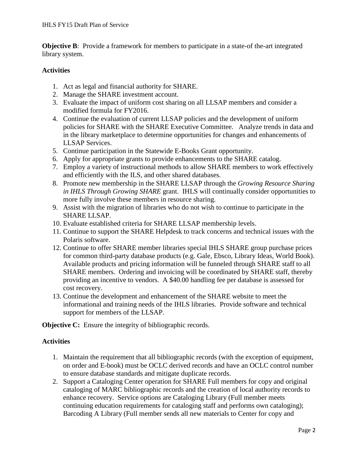**Objective B:** Provide a framework for members to participate in a state-of the-art integrated library system.

### **Activities**

- 1. Act as legal and financial authority for SHARE.
- 2. Manage the SHARE investment account.
- 3. Evaluate the impact of uniform cost sharing on all LLSAP members and consider a modified formula for FY2016.
- 4. Continue the evaluation of current LLSAP policies and the development of uniform policies for SHARE with the SHARE Executive Committee. Analyze trends in data and in the library marketplace to determine opportunities for changes and enhancements of LLSAP Services.
- 5. Continue participation in the Statewide E-Books Grant opportunity.
- 6. Apply for appropriate grants to provide enhancements to the SHARE catalog.
- 7. Employ a variety of instructional methods to allow SHARE members to work effectively and efficiently with the ILS, and other shared databases.
- 8. Promote new membership in the SHARE LLSAP through the *Growing Resource Sharing in IHLS Through Growing SHARE* grant. IHLS will continually consider opportunities to more fully involve these members in resource sharing.
- 9. Assist with the migration of libraries who do not wish to continue to participate in the SHARE LLSAP.
- 10. Evaluate established criteria for SHARE LLSAP membership levels.
- 11. Continue to support the SHARE Helpdesk to track concerns and technical issues with the Polaris software.
- 12. Continue to offer SHARE member libraries special IHLS SHARE group purchase prices for common third-party database products (e.g. Gale, Ebsco, Library Ideas, World Book). Available products and pricing information will be funneled through SHARE staff to all SHARE members. Ordering and invoicing will be coordinated by SHARE staff, thereby providing an incentive to vendors. A \$40.00 handling fee per database is assessed for cost recovery.
- 13. Continue the development and enhancement of the SHARE website to meet the informational and training needs of the IHLS libraries. Provide software and technical support for members of the LLSAP.

**Objective C:** Ensure the integrity of bibliographic records.

- 1. Maintain the requirement that all bibliographic records (with the exception of equipment, on order and E-book) must be OCLC derived records and have an OCLC control number to ensure database standards and mitigate duplicate records.
- 2. Support a Cataloging Center operation for SHARE Full members for copy and original cataloging of MARC bibliographic records and the creation of local authority records to enhance recovery. Service options are Cataloging Library (Full member meets continuing education requirements for cataloging staff and performs own cataloging); Barcoding A Library (Full member sends all new materials to Center for copy and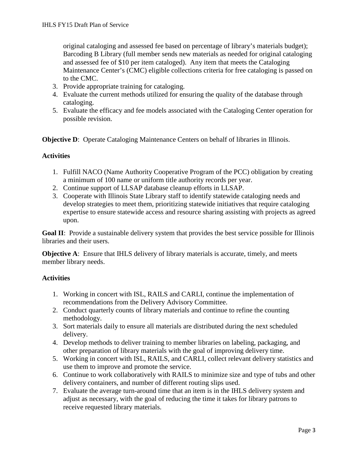original cataloging and assessed fee based on percentage of library's materials budget); Barcoding B Library (full member sends new materials as needed for original cataloging and assessed fee of \$10 per item cataloged). Any item that meets the Cataloging Maintenance Center's (CMC) eligible collections criteria for free cataloging is passed on to the CMC.

- 3. Provide appropriate training for cataloging.
- 4. Evaluate the current methods utilized for ensuring the quality of the database through cataloging.
- 5. Evaluate the efficacy and fee models associated with the Cataloging Center operation for possible revision.

**Objective D:** Operate Cataloging Maintenance Centers on behalf of libraries in Illinois.

### **Activities**

- 1. Fulfill NACO (Name Authority Cooperative Program of the PCC) obligation by creating a minimum of 100 name or uniform title authority records per year.
- 2. Continue support of LLSAP database cleanup efforts in LLSAP.
- 3. Cooperate with Illinois State Library staff to identify statewide cataloging needs and develop strategies to meet them, prioritizing statewide initiatives that require cataloging expertise to ensure statewide access and resource sharing assisting with projects as agreed upon.

**Goal II**: Provide a sustainable delivery system that provides the best service possible for Illinois libraries and their users.

**Objective A:** Ensure that IHLS delivery of library materials is accurate, timely, and meets member library needs.

- 1. Working in concert with ISL, RAILS and CARLI, continue the implementation of recommendations from the Delivery Advisory Committee.
- 2. Conduct quarterly counts of library materials and continue to refine the counting methodology.
- 3. Sort materials daily to ensure all materials are distributed during the next scheduled delivery.
- 4. Develop methods to deliver training to member libraries on labeling, packaging, and other preparation of library materials with the goal of improving delivery time.
- 5. Working in concert with ISL, RAILS, and CARLI, collect relevant delivery statistics and use them to improve and promote the service.
- 6. Continue to work collaboratively with RAILS to minimize size and type of tubs and other delivery containers, and number of different routing slips used.
- 7. Evaluate the average turn-around time that an item is in the IHLS delivery system and adjust as necessary, with the goal of reducing the time it takes for library patrons to receive requested library materials.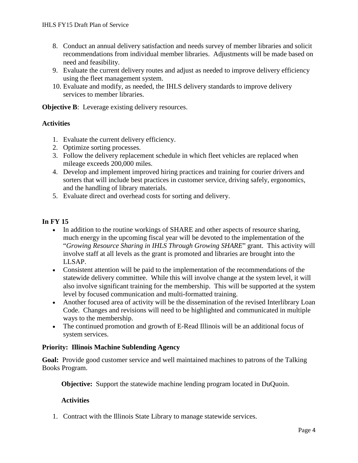- 8. Conduct an annual delivery satisfaction and needs survey of member libraries and solicit recommendations from individual member libraries. Adjustments will be made based on need and feasibility.
- 9. Evaluate the current delivery routes and adjust as needed to improve delivery efficiency using the fleet management system.
- 10. Evaluate and modify, as needed, the IHLS delivery standards to improve delivery services to member libraries.

**Objective B:** Leverage existing delivery resources.

# **Activities**

- 1. Evaluate the current delivery efficiency.
- 2. Optimize sorting processes.
- 3. Follow the delivery replacement schedule in which fleet vehicles are replaced when mileage exceeds 200,000 miles.
- 4. Develop and implement improved hiring practices and training for courier drivers and sorters that will include best practices in customer service, driving safely, ergonomics, and the handling of library materials.
- 5. Evaluate direct and overhead costs for sorting and delivery.

# **In FY 15**

- In addition to the routine workings of SHARE and other aspects of resource sharing, much energy in the upcoming fiscal year will be devoted to the implementation of the "*Growing Resource Sharing in IHLS Through Growing SHARE*" grant. This activity will involve staff at all levels as the grant is promoted and libraries are brought into the LLSAP.
- Consistent attention will be paid to the implementation of the recommendations of the statewide delivery committee. While this will involve change at the system level, it will also involve significant training for the membership. This will be supported at the system level by focused communication and multi-formatted training.
- Another focused area of activity will be the dissemination of the revised Interlibrary Loan Code. Changes and revisions will need to be highlighted and communicated in multiple ways to the membership.
- The continued promotion and growth of E-Read Illinois will be an additional focus of system services.

### **Priority: Illinois Machine Sublending Agency**

**Goal:** Provide good customer service and well maintained machines to patrons of the Talking Books Program.

**Objective:** Support the statewide machine lending program located in DuQuoin.

### **Activities**

1. Contract with the Illinois State Library to manage statewide services.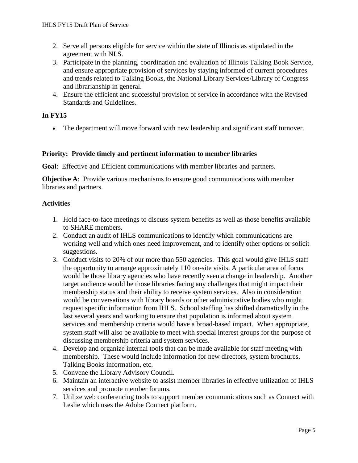- 2. Serve all persons eligible for service within the state of Illinois as stipulated in the agreement with NLS.
- 3. Participate in the planning, coordination and evaluation of Illinois Talking Book Service, and ensure appropriate provision of services by staying informed of current procedures and trends related to Talking Books, the National Library Services/Library of Congress and librarianship in general.
- 4. Ensure the efficient and successful provision of service in accordance with the Revised Standards and Guidelines.

# **In FY15**

• The department will move forward with new leadership and significant staff turnover.

### **Priority: Provide timely and pertinent information to member libraries**

**Goal**: Effective and Efficient communications with member libraries and partners.

**Objective A**: Provide various mechanisms to ensure good communications with member libraries and partners.

- 1. Hold face-to-face meetings to discuss system benefits as well as those benefits available to SHARE members.
- 2. Conduct an audit of IHLS communications to identify which communications are working well and which ones need improvement, and to identify other options or solicit suggestions.
- 3. Conduct visits to 20% of our more than 550 agencies. This goal would give IHLS staff the opportunity to arrange approximately 110 on-site visits. A particular area of focus would be those library agencies who have recently seen a change in leadership. Another target audience would be those libraries facing any challenges that might impact their membership status and their ability to receive system services. Also in consideration would be conversations with library boards or other administrative bodies who might request specific information from IHLS. School staffing has shifted dramatically in the last several years and working to ensure that population is informed about system services and membership criteria would have a broad-based impact. When appropriate, system staff will also be available to meet with special interest groups for the purpose of discussing membership criteria and system services.
- 4. Develop and organize internal tools that can be made available for staff meeting with membership. These would include information for new directors, system brochures, Talking Books information, etc.
- 5. Convene the Library Advisory Council.
- 6. Maintain an interactive website to assist member libraries in effective utilization of IHLS services and promote member forums.
- 7. Utilize web conferencing tools to support member communications such as Connect with Leslie which uses the Adobe Connect platform.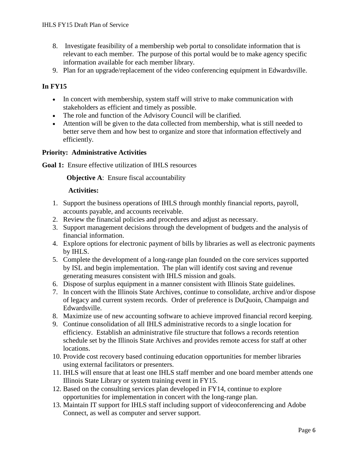- 8. Investigate feasibility of a membership web portal to consolidate information that is relevant to each member. The purpose of this portal would be to make agency specific information available for each member library.
- 9. Plan for an upgrade/replacement of the video conferencing equipment in Edwardsville.

# **In FY15**

- In concert with membership, system staff will strive to make communication with stakeholders as efficient and timely as possible.
- The role and function of the Advisory Council will be clarified.
- Attention will be given to the data collected from membership, what is still needed to better serve them and how best to organize and store that information effectively and efficiently.

# **Priority: Administrative Activities**

**Goal 1:** Ensure effective utilization of IHLS resources

### **Objective A:** Ensure fiscal accountability

- 1. Support the business operations of IHLS through monthly financial reports, payroll, accounts payable, and accounts receivable.
- 2. Review the financial policies and procedures and adjust as necessary.
- 3. Support management decisions through the development of budgets and the analysis of financial information.
- 4. Explore options for electronic payment of bills by libraries as well as electronic payments by IHLS.
- 5. Complete the development of a long-range plan founded on the core services supported by ISL and begin implementation. The plan will identify cost saving and revenue generating measures consistent with IHLS mission and goals.
- 6. Dispose of surplus equipment in a manner consistent with Illinois State guidelines.
- 7. In concert with the Illinois State Archives, continue to consolidate, archive and/or dispose of legacy and current system records. Order of preference is DuQuoin, Champaign and Edwardsville.
- 8. Maximize use of new accounting software to achieve improved financial record keeping.
- 9. Continue consolidation of all IHLS administrative records to a single location for efficiency. Establish an administrative file structure that follows a records retention schedule set by the Illinois State Archives and provides remote access for staff at other locations.
- 10. Provide cost recovery based continuing education opportunities for member libraries using external facilitators or presenters.
- 11. IHLS will ensure that at least one IHLS staff member and one board member attends one Illinois State Library or system training event in FY15.
- 12. Based on the consulting services plan developed in FY14, continue to explore opportunities for implementation in concert with the long-range plan.
- 13. Maintain IT support for IHLS staff including support of videoconferencing and Adobe Connect, as well as computer and server support.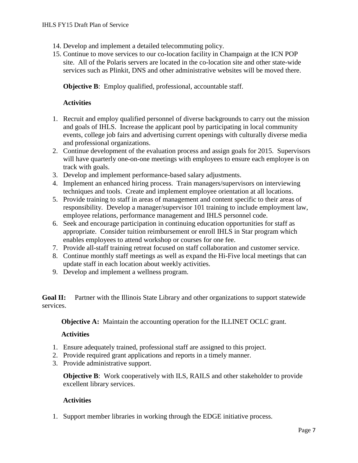- 14. Develop and implement a detailed telecommuting policy.
- 15. Continue to move services to our co-location facility in Champaign at the ICN POP site. All of the Polaris servers are located in the co-location site and other state-wide services such as Plinkit, DNS and other administrative websites will be moved there.

**Objective B:** Employ qualified, professional, accountable staff.

### **Activities**

- 1. Recruit and employ qualified personnel of diverse backgrounds to carry out the mission and goals of IHLS. Increase the applicant pool by participating in local community events, college job fairs and advertising current openings with culturally diverse media and professional organizations.
- 2. Continue development of the evaluation process and assign goals for 2015. Supervisors will have quarterly one-on-one meetings with employees to ensure each employee is on track with goals.
- 3. Develop and implement performance-based salary adjustments.
- 4. Implement an enhanced hiring process. Train managers/supervisors on interviewing techniques and tools. Create and implement employee orientation at all locations.
- 5. Provide training to staff in areas of management and content specific to their areas of responsibility. Develop a manager/supervisor 101 training to include employment law, employee relations, performance management and IHLS personnel code.
- 6. Seek and encourage participation in continuing education opportunities for staff as appropriate. Consider tuition reimbursement or enroll IHLS in Star program which enables employees to attend workshop or courses for one fee.
- 7. Provide all-staff training retreat focused on staff collaboration and customer service.
- 8. Continue monthly staff meetings as well as expand the Hi-Five local meetings that can update staff in each location about weekly activities.
- 9. Develop and implement a wellness program.

**Goal II:** Partner with the Illinois State Library and other organizations to support statewide services.

**Objective A:** Maintain the accounting operation for the ILLINET OCLC grant.

### **Activities**

- 1. Ensure adequately trained, professional staff are assigned to this project.
- 2. Provide required grant applications and reports in a timely manner.
- 3. Provide administrative support.

**Objective B:** Work cooperatively with ILS, RAILS and other stakeholder to provide excellent library services.

# **Activities**

1. Support member libraries in working through the EDGE initiative process.